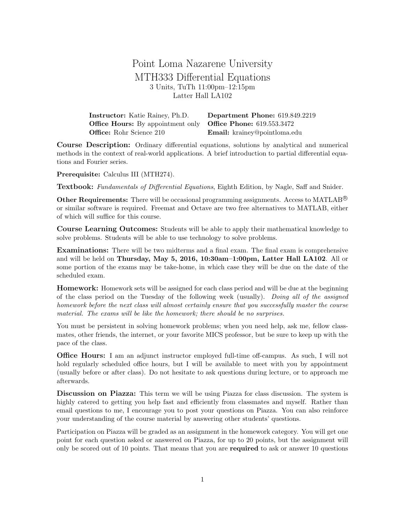Point Loma Nazarene University MTH333 Differential Equations 3 Units, TuTh 11:00pm–12:15pm Latter Hall LA102

| <b>Instructor:</b> Katie Rainey, Ph.D.                                     | Department Phone: 619.849.2219 |
|----------------------------------------------------------------------------|--------------------------------|
| <b>Office Hours:</b> By appointment only <b>Office Phone:</b> 619.553.3472 |                                |
| <b>Office:</b> Rohr Science 210                                            | Email: krainey@pointloma.edu   |

Course Description: Ordinary differential equations, solutions by analytical and numerical methods in the context of real-world applications. A brief introduction to partial differential equations and Fourier series.

Prerequisite: Calculus III (MTH274).

Textbook: Fundamentals of Differential Equations, Eighth Edition, by Nagle, Saff and Snider.

**Other Requirements:** There will be occasional programming assignments. Access to MATLAB<sup>®</sup> or similar software is required. Freemat and Octave are two free alternatives to MATLAB, either of which will suffice for this course.

Course Learning Outcomes: Students will be able to apply their mathematical knowledge to solve problems. Students will be able to use technology to solve problems.

Examinations: There will be two midterms and a final exam. The final exam is comprehensive and will be held on Thursday, May 5, 2016, 10:30am–1:00pm, Latter Hall LA102. All or some portion of the exams may be take-home, in which case they will be due on the date of the scheduled exam.

Homework: Homework sets will be assigned for each class period and will be due at the beginning of the class period on the Tuesday of the following week (usually). Doing all of the assigned homework before the next class will almost certainly ensure that you successfully master the course material. The exams will be like the homework; there should be no surprises.

You must be persistent in solving homework problems; when you need help, ask me, fellow classmates, other friends, the internet, or your favorite MICS professor, but be sure to keep up with the pace of the class.

Office Hours: I am an adjunct instructor employed full-time off-campus. As such, I will not hold regularly scheduled office hours, but I will be available to meet with you by appointment (usually before or after class). Do not hesitate to ask questions during lecture, or to approach me afterwards.

Discussion on Piazza: This term we will be using Piazza for class discussion. The system is highly catered to getting you help fast and efficiently from classmates and myself. Rather than email questions to me, I encourage you to post your questions on Piazza. You can also reinforce your understanding of the course material by answering other students' questions.

Participation on Piazza will be graded as an assignment in the homework category. You will get one point for each question asked or answered on Piazza, for up to 20 points, but the assignment will only be scored out of 10 points. That means that you are required to ask or answer 10 questions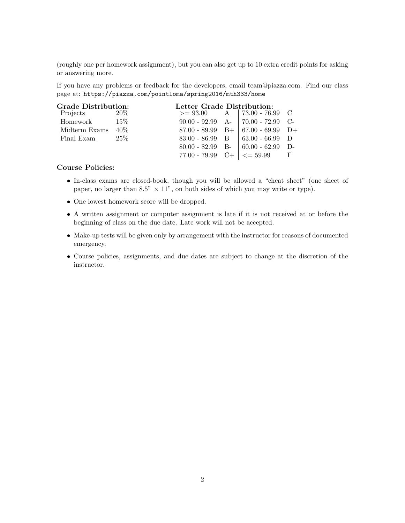(roughly one per homework assignment), but you can also get up to 10 extra credit points for asking or answering more.

If you have any problems or feedback for the developers, email team@piazza.com. Find our class page at: https://piazza.com/pointloma/spring2016/mth333/home

| <b>Grade Distribution:</b> |        | Letter Grade Distribution: |                                                  |          |
|----------------------------|--------|----------------------------|--------------------------------------------------|----------|
| Projects                   | 20\%   |                            | $>= 93.00$ A   73.00 - 76.99 C                   |          |
| Homework                   | 15%    |                            | $90.00 - 92.99$ A-   $70.00 - 72.99$ C-          |          |
| Midterm Exams              | $40\%$ |                            | $87.00 - 89.99$ B+ $67.00 - 69.99$ D+            |          |
| Final Exam                 | $25\%$ |                            | $83.00 - 86.99$ B $\mid 63.00 - 66.99$           | D        |
|                            |        |                            | $80.00 - 82.99$ B- $60.00 - 62.99$               | $\Gamma$ |
|                            |        |                            | 77.00 - 79.99 C+ $\vert \langle = 59.99 \vert$ F |          |

## Course Policies:

- In-class exams are closed-book, though you will be allowed a "cheat sheet" (one sheet of paper, no larger than 8.5"  $\times$  11", on both sides of which you may write or type).
- One lowest homework score will be dropped.
- A written assignment or computer assignment is late if it is not received at or before the beginning of class on the due date. Late work will not be accepted.
- Make-up tests will be given only by arrangement with the instructor for reasons of documented emergency.
- Course policies, assignments, and due dates are subject to change at the discretion of the instructor.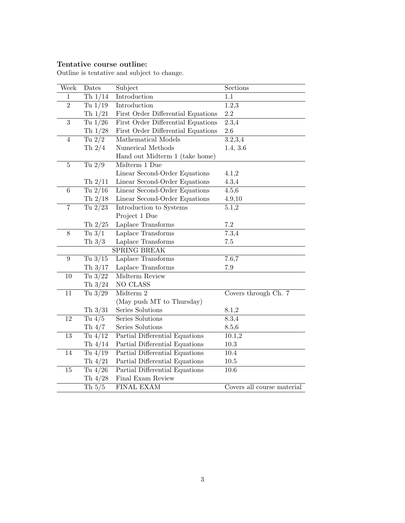## Tentative course outline:

Outline is tentative and subject to change.

| Week                     | Dates           | Subject                            | Sections                   |
|--------------------------|-----------------|------------------------------------|----------------------------|
| $\mathbf{1}$             | Th $1/14$       | Introduction                       | 1.1                        |
| $\overline{2}$           | Tu $1/19$       | Introduction                       | 1.2,3                      |
|                          | Th $1/21$       | First Order Differential Equations | 2.2                        |
| $\overline{3}$           | Tu $1/26$       | First Order Differential Equations | $\overline{2.3,4}$         |
|                          | Th $1/28$       | First Order Differential Equations | $2.6\,$                    |
| $\overline{4}$           | Tu $\sqrt{2}/2$ | Mathematical Models                | 3.2,3,4                    |
|                          | Th $2/4$        | Numerical Methods                  | 1.4, 3.6                   |
|                          |                 | Hand out Midterm 1 (take home)     |                            |
| $\bf 5$                  | Tu $2/9$        | Midterm 1 Due                      |                            |
|                          |                 | Linear Second-Order Equations      | 4.1,2                      |
|                          | Th $2/11$       | Linear Second-Order Equations      | 4.3,4                      |
| $\,6\,$                  | Tu $2/16$       | Linear Second-Order Equations      | 4.5,6                      |
|                          | Th $2/18$       | Linear Second-Order Equations      | 4.9,10                     |
| $\overline{\mathcal{I}}$ | Tu $2/23$       | Introduction to Systems            | 5.1,2                      |
|                          |                 | Project 1 Due                      |                            |
|                          | Th $2/25$       | Laplace Transforms                 | 7.2                        |
| 8                        | Tu $3/1$        | Laplace Transforms                 | 7.3,4                      |
|                          | Th $3/3$        | Laplace Transforms                 | $7.5\,$                    |
|                          |                 | SPRING BREAK                       |                            |
| $\boldsymbol{9}$         | Tu $3/15$       | Laplace Transforms                 | 7.6,7                      |
|                          | Th $3/17$       | Laplace Transforms                 | 7.9                        |
| $10\,$                   | Tu $3/22$       | Midterm Review                     |                            |
|                          | Th $3/24$       | NO CLASS                           |                            |
| $\overline{11}$          | Tu $3/29$       | Midterm 2                          | Covers through Ch. 7       |
|                          |                 | (May push MT to Thursday)          |                            |
|                          | Th $3/31$       | Series Solutions                   | 8.1,2                      |
| 12                       | Tu $4/5$        | Series Solutions                   | 8.3,4                      |
|                          | Th $4/7$        | Series Solutions                   | 8.5,6                      |
| 13                       | Tu $4/12$       | Partial Differential Equations     | 10.1,2                     |
|                          | Th $4/14$       | Partial Differential Equations     | 10.3                       |
| 14                       | Tu $4/19$       | Partial Differential Equations     | 10.4                       |
|                          | Th $4/21$       | Partial Differential Equations     | $10.5\,$                   |
| $15\,$                   | Tu $4/26$       | Partial Differential Equations     | 10.6                       |
|                          | Th $4/28$       | Final Exam Review                  |                            |
|                          | Th $5/5$        | <b>FINAL EXAM</b>                  | Covers all course material |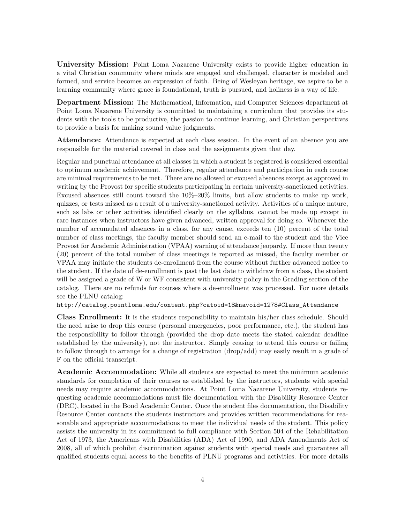University Mission: Point Loma Nazarene University exists to provide higher education in a vital Christian community where minds are engaged and challenged, character is modeled and formed, and service becomes an expression of faith. Being of Wesleyan heritage, we aspire to be a learning community where grace is foundational, truth is pursued, and holiness is a way of life.

Department Mission: The Mathematical, Information, and Computer Sciences department at Point Loma Nazarene University is committed to maintaining a curriculum that provides its students with the tools to be productive, the passion to continue learning, and Christian perspectives to provide a basis for making sound value judgments.

Attendance: Attendance is expected at each class session. In the event of an absence you are responsible for the material covered in class and the assignments given that day.

Regular and punctual attendance at all classes in which a student is registered is considered essential to optimum academic achievement. Therefore, regular attendance and participation in each course are minimal requirements to be met. There are no allowed or excused absences except as approved in writing by the Provost for specific students participating in certain university-sanctioned activities. Excused absences still count toward the 10%–20% limits, but allow students to make up work, quizzes, or tests missed as a result of a university-sanctioned activity. Activities of a unique nature, such as labs or other activities identified clearly on the syllabus, cannot be made up except in rare instances when instructors have given advanced, written approval for doing so. Whenever the number of accumulated absences in a class, for any cause, exceeds ten (10) percent of the total number of class meetings, the faculty member should send an e-mail to the student and the Vice Provost for Academic Administration (VPAA) warning of attendance jeopardy. If more than twenty (20) percent of the total number of class meetings is reported as missed, the faculty member or VPAA may initiate the students de-enrollment from the course without further advanced notice to the student. If the date of de-enrollment is past the last date to withdraw from a class, the student will be assigned a grade of W or WF consistent with university policy in the Grading section of the catalog. There are no refunds for courses where a de-enrollment was processed. For more details see the PLNU catalog:

http://catalog.pointloma.edu/content.php?catoid=18&navoid=1278#Class\_Attendance

Class Enrollment: It is the students responsibility to maintain his/her class schedule. Should the need arise to drop this course (personal emergencies, poor performance, etc.), the student has the responsibility to follow through (provided the drop date meets the stated calendar deadline established by the university), not the instructor. Simply ceasing to attend this course or failing to follow through to arrange for a change of registration (drop/add) may easily result in a grade of F on the official transcript.

Academic Accommodation: While all students are expected to meet the minimum academic standards for completion of their courses as established by the instructors, students with special needs may require academic accommodations. At Point Loma Nazarene University, students requesting academic accommodations must file documentation with the Disability Resource Center (DRC), located in the Bond Academic Center. Once the student files documentation, the Disability Resource Center contacts the students instructors and provides written recommendations for reasonable and appropriate accommodations to meet the individual needs of the student. This policy assists the university in its commitment to full compliance with Section 504 of the Rehabilitation Act of 1973, the Americans with Disabilities (ADA) Act of 1990, and ADA Amendments Act of 2008, all of which prohibit discrimination against students with special needs and guarantees all qualified students equal access to the benefits of PLNU programs and activities. For more details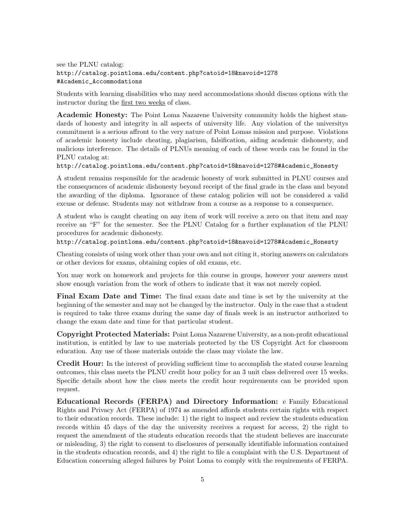see the PLNU catalog: http://catalog.pointloma.edu/content.php?catoid=18&navoid=1278 #Academic\_Accommodations

Students with learning disabilities who may need accommodations should discuss options with the instructor during the first two weeks of class.

Academic Honesty: The Point Loma Nazarene University community holds the highest standards of honesty and integrity in all aspects of university life. Any violation of the universitys commitment is a serious affront to the very nature of Point Lomas mission and purpose. Violations of academic honesty include cheating, plagiarism, falsification, aiding academic dishonesty, and malicious interference. The details of PLNUs meaning of each of these words can be found in the PLNU catalog at:

http://catalog.pointloma.edu/content.php?catoid=18&navoid=1278#Academic\_Honesty

A student remains responsible for the academic honesty of work submitted in PLNU courses and the consequences of academic dishonesty beyond receipt of the final grade in the class and beyond the awarding of the diploma. Ignorance of these catalog policies will not be considered a valid excuse or defense. Students may not withdraw from a course as a response to a consequence.

A student who is caught cheating on any item of work will receive a zero on that item and may receive an "F" for the semester. See the PLNU Catalog for a further explanation of the PLNU procedures for academic dishonesty.

http://catalog.pointloma.edu/content.php?catoid=18&navoid=1278#Academic\_Honesty

Cheating consists of using work other than your own and not citing it, storing answers on calculators or other devices for exams, obtaining copies of old exams, etc.

You may work on homework and projects for this course in groups, however your answers must show enough variation from the work of others to indicate that it was not merely copied.

Final Exam Date and Time: The final exam date and time is set by the university at the beginning of the semester and may not be changed by the instructor. Only in the case that a student is required to take three exams during the same day of finals week is an instructor authorized to change the exam date and time for that particular student.

Copyright Protected Materials: Point Loma Nazarene University, as a non-profit educational institution, is entitled by law to use materials protected by the US Copyright Act for classroom education. Any use of those materials outside the class may violate the law.

Credit Hour: In the interest of providing sufficient time to accomplish the stated course learning outcomes, this class meets the PLNU credit hour policy for an 3 unit class delivered over 15 weeks. Specific details about how the class meets the credit hour requirements can be provided upon request.

Educational Records (FERPA) and Directory Information: e Family Educational Rights and Privacy Act (FERPA) of 1974 as amended affords students certain rights with respect to their education records. These include: 1) the right to inspect and review the students education records within 45 days of the day the university receives a request for access, 2) the right to request the amendment of the students education records that the student believes are inaccurate or misleading, 3) the right to consent to disclosures of personally identifiable information contained in the students education records, and 4) the right to file a complaint with the U.S. Department of Education concerning alleged failures by Point Loma to comply with the requirements of FERPA.